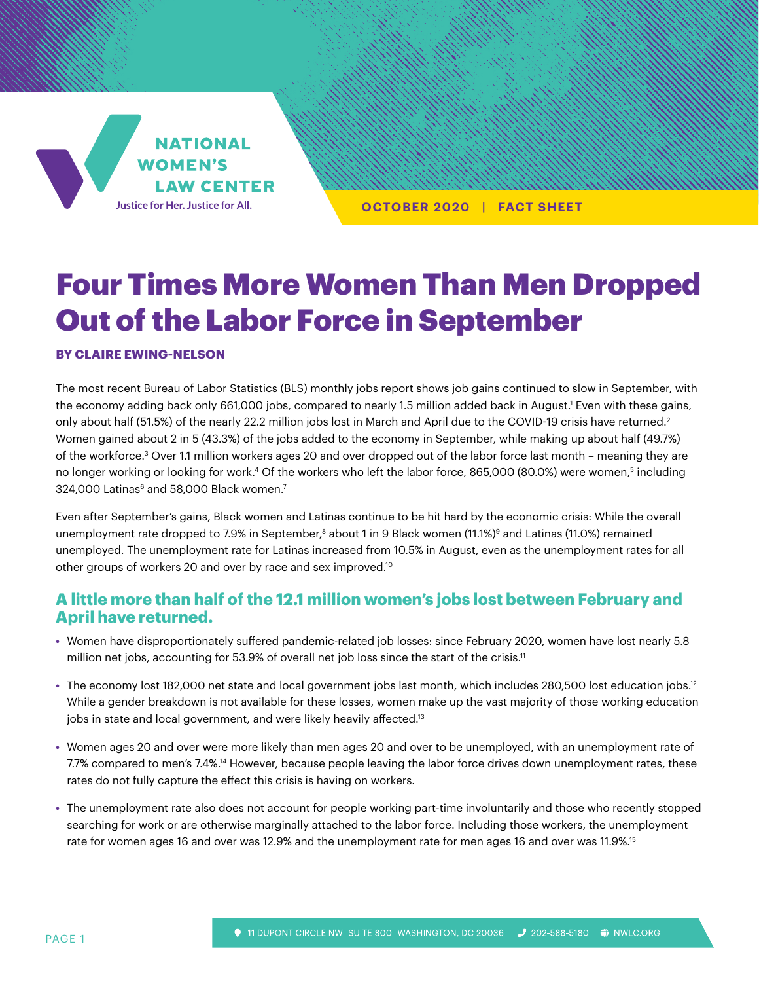**NATIONAL WOMEN'S LAW CENTER** Justice for Her. Justice for All.

**OCTOBER 2020 | FACT SHEET**

# Four Times More Women Than Men Dropped Out of the Labor Force in September

#### **BY CLAIRE EWING-NELSON**

The most recent Bureau of Labor Statistics (BLS) monthly jobs report shows job gains continued to slow in September, with the economy adding back only 661,000 jobs, compared to nearly 1.5 million added back in August.<sup>1</sup> Even with these gains, only about half (51.5%) of the nearly 22.2 million jobs lost in March and April due to the COVID-19 crisis have returned.<sup>2</sup> Women gained about 2 in 5 (43.3%) of the jobs added to the economy in September, while making up about half (49.7%) of the workforce.3 Over 1.1 million workers ages 20 and over dropped out of the labor force last month – meaning they are no longer working or looking for work.<sup>4</sup> Of the workers who left the labor force, 865,000 (80.0%) were women,<sup>5</sup> including 324,000 Latinas $^6$  and 58,000 Black women. $^7$ 

Even after September's gains, Black women and Latinas continue to be hit hard by the economic crisis: While the overall unemployment rate dropped to 7.9% in September,<sup>8</sup> about 1 in 9 Black women (11.1%)<sup>9</sup> and Latinas (11.0%) remained unemployed. The unemployment rate for Latinas increased from 10.5% in August, even as the unemployment rates for all other groups of workers 20 and over by race and sex improved.<sup>10</sup>

## **A little more than half of the 12.1 million women's jobs lost between February and April have returned.**

- **•** Women have disproportionately suffered pandemic-related job losses: since February 2020, women have lost nearly 5.8 million net jobs, accounting for 53.9% of overall net job loss since the start of the crisis.<sup>11</sup>
- **•** The economy lost 182,000 net state and local government jobs last month, which includes 280,500 lost education jobs.12 While a gender breakdown is not available for these losses, women make up the vast majority of those working education jobs in state and local government, and were likely heavily affected.<sup>13</sup>
- **•** Women ages 20 and over were more likely than men ages 20 and over to be unemployed, with an unemployment rate of 7.7% compared to men's 7.4%.14 However, because people leaving the labor force drives down unemployment rates, these rates do not fully capture the effect this crisis is having on workers.
- **•** The unemployment rate also does not account for people working part-time involuntarily and those who recently stopped searching for work or are otherwise marginally attached to the labor force. Including those workers, the unemployment rate for women ages 16 and over was 12.9% and the unemployment rate for men ages 16 and over was 11.9%.<sup>15</sup>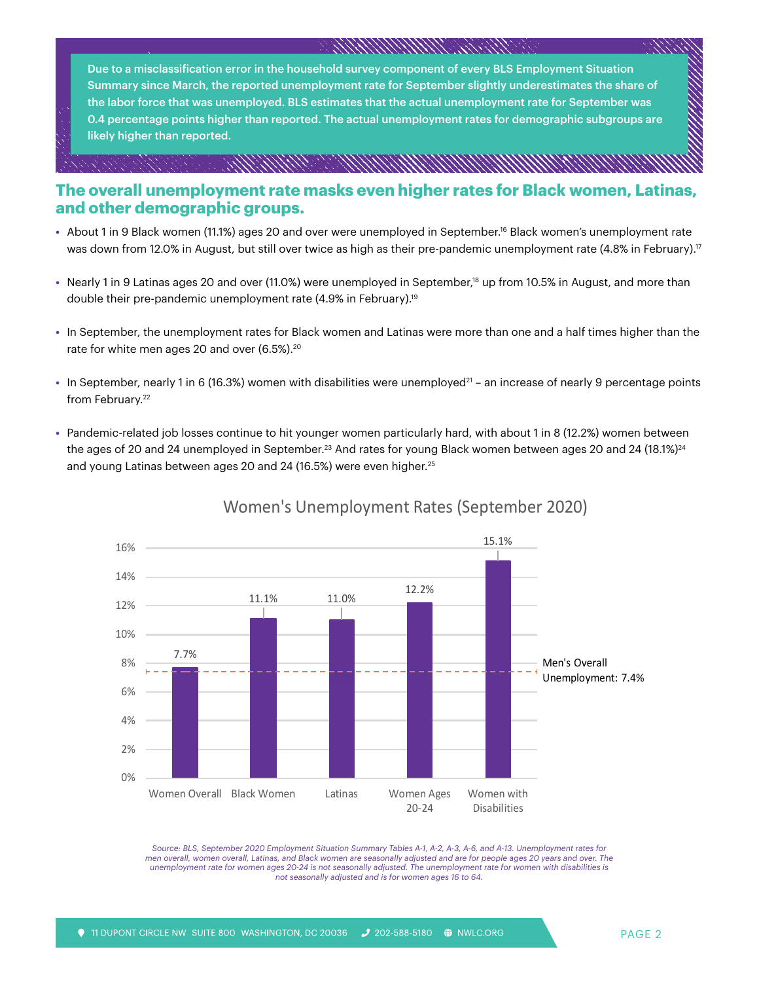### A. III. T. T. MAMMANI.

Due to a misclassification error in the household survey component of every BLS Employment Situation Summary since March, the reported unemployment rate for September slightly underestimates the share of the labor force that was unemployed. BLS estimates that the actual unemployment rate for September was 0.4 percentage points higher than reported. The actual unemployment rates for demographic subgroups are likely higher than reported.

#### AN NAME & MARKHAM MANAGEMAN (MA

## **The overall unemployment rate masks even higher rates for Black women, Latinas, and other demographic groups.**

- **•** About 1 in 9 Black women (11.1%) ages 20 and over were unemployed in September.16 Black women's unemployment rate was down from 12.0% in August, but still over twice as high as their pre-pandemic unemployment rate (4.8% in February).<sup>17</sup>
- **•** Nearly 1 in 9 Latinas ages 20 and over (11.0%) were unemployed in September,18 up from 10.5% in August, and more than double their pre-pandemic unemployment rate (4.9% in February).19
- **•** In September, the unemployment rates for Black women and Latinas were more than one and a half times higher than the rate for white men ages 20 and over (6.5%).<sup>20</sup>
- In September, nearly 1 in 6 (16.3%) women with disabilities were unemployed<sup>21</sup> an increase of nearly 9 percentage points from February.<sup>22</sup>
- **•** Pandemic-related job losses continue to hit younger women particularly hard, with about 1 in 8 (12.2%) women between the ages of 20 and 24 unemployed in September.<sup>23</sup> And rates for young Black women between ages 20 and 24 (18.1%)<sup>24</sup> and young Latinas between ages 20 and 24 (16.5%) were even higher.<sup>25</sup>



## Women's Unemployment Rates (September 2020)

*Source: BLS, September 2020 Employment Situation Summary Tables A-1, A-2, A-3, A-6, and A-13. Unemployment rates for men overall, women overall, Latinas, and Black women are seasonally adjusted and are for people ages 20 years and over. The unemployment rate for women ages 20-24 is not seasonally adjusted. The unemployment rate for women with disabilities is not seasonally adjusted and is for women ages 16 to 64.*